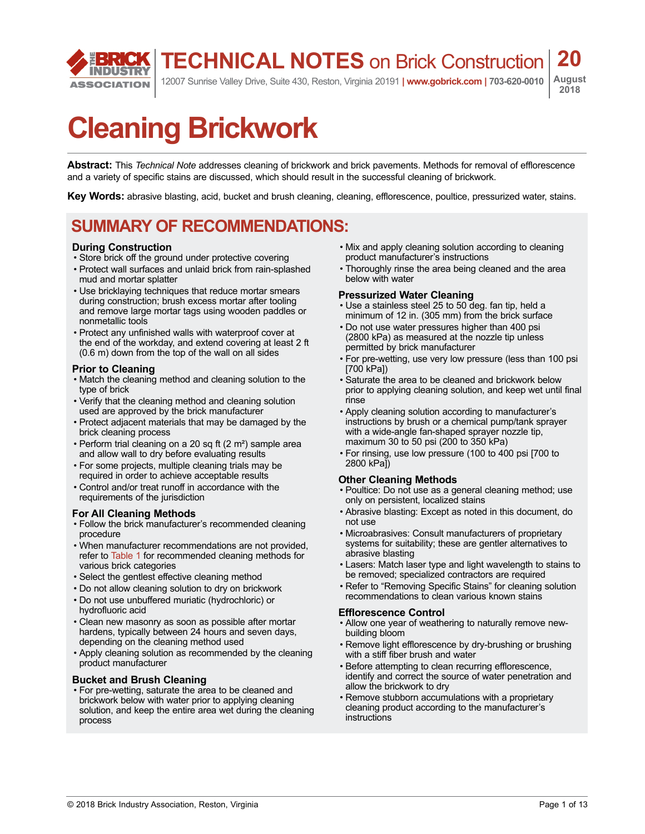**TECHNICAL NOTES** on Brick Construction

12007 Sunrise Valley Drive, Suite 430, Reston, Virginia 20191 **| www.gobrick.com | 703-620-0010**

**August 2018**

**20**

# **Cleaning Brickwork**

**Abstract:** This *Technical Note* addresses cleaning of brickwork and brick pavements. Methods for removal of efflorescence and a variety of specific stains are discussed, which should result in the successful cleaning of brickwork.

**Key Words:** abrasive blasting, acid, bucket and brush cleaning, cleaning, efflorescence, poultice, pressurized water, stains.

#### **SUMMARY OF RECOMMENDATIONS:**

#### **During Construction**

**ASSOCIATION** 

- Store brick off the ground under protective covering
- Protect wall surfaces and unlaid brick from rain-splashed mud and mortar splatter
- Use bricklaying techniques that reduce mortar smears during construction; brush excess mortar after tooling and remove large mortar tags using wooden paddles or nonmetallic tools
- Protect any unfinished walls with waterproof cover at the end of the workday, and extend covering at least 2 ft (0.6 m) down from the top of the wall on all sides

#### **Prior to Cleaning**

- Match the cleaning method and cleaning solution to the type of brick
- Verify that the cleaning method and cleaning solution used are approved by the brick manufacturer
- Protect adjacent materials that may be damaged by the brick cleaning process
- Perform trial cleaning on a 20 sq ft (2 m²) sample area and allow wall to dry before evaluating results
- For some projects, multiple cleaning trials may be required in order to achieve acceptable results
- Control and/or treat runoff in accordance with the requirements of the jurisdiction

#### **For All Cleaning Methods**

- Follow the brick manufacturer's recommended cleaning procedure
- When manufacturer recommendations are not provided, refer to [Table 1](#page-3-0) for recommended cleaning methods for various brick categories
- Select the gentlest effective cleaning method
- Do not allow cleaning solution to dry on brickwork
- Do not use unbuffered muriatic (hydrochloric) or hydrofluoric acid
- Clean new masonry as soon as possible after mortar hardens, typically between 24 hours and seven days, depending on the cleaning method used
- Apply cleaning solution as recommended by the cleaning product manufacturer

#### **Bucket and Brush Cleaning**

• For pre-wetting, saturate the area to be cleaned and brickwork below with water prior to applying cleaning solution, and keep the entire area wet during the cleaning process

- Mix and apply cleaning solution according to cleaning product manufacturer's instructions
- Thoroughly rinse the area being cleaned and the area below with water

#### **Pressurized Water Cleaning**

- Use a stainless steel 25 to 50 deg. fan tip, held a minimum of 12 in. (305 mm) from the brick surface
- Do not use water pressures higher than 400 psi (2800 kPa) as measured at the nozzle tip unless permitted by brick manufacturer
- For pre-wetting, use very low pressure (less than 100 psi [700 kPa])
- Saturate the area to be cleaned and brickwork below prior to applying cleaning solution, and keep wet until final rinse
- Apply cleaning solution according to manufacturer's instructions by brush or a chemical pump/tank sprayer with a wide-angle fan-shaped sprayer nozzle tip, maximum 30 to 50 psi (200 to 350 kPa)
- For rinsing, use low pressure (100 to 400 psi [700 to 2800 kPa])

#### **Other Cleaning Methods**

- Poultice: Do not use as a general cleaning method; use only on persistent, localized stains
- Abrasive blasting: Except as noted in this document, do not use
- Microabrasives: Consult manufacturers of proprietary systems for suitability; these are gentler alternatives to abrasive blasting
- Lasers: Match laser type and light wavelength to stains to be removed; specialized contractors are required
- Refer to "Removing Specific Stains" for cleaning solution recommendations to clean various known stains

#### **Efflorescence Control**

- Allow one year of weathering to naturally remove newbuilding bloom
- Remove light efflorescence by dry-brushing or brushing with a stiff fiber brush and water
- Before attempting to clean recurring efflorescence, identify and correct the source of water penetration and allow the brickwork to dry
- Remove stubborn accumulations with a proprietary cleaning product according to the manufacturer's instructions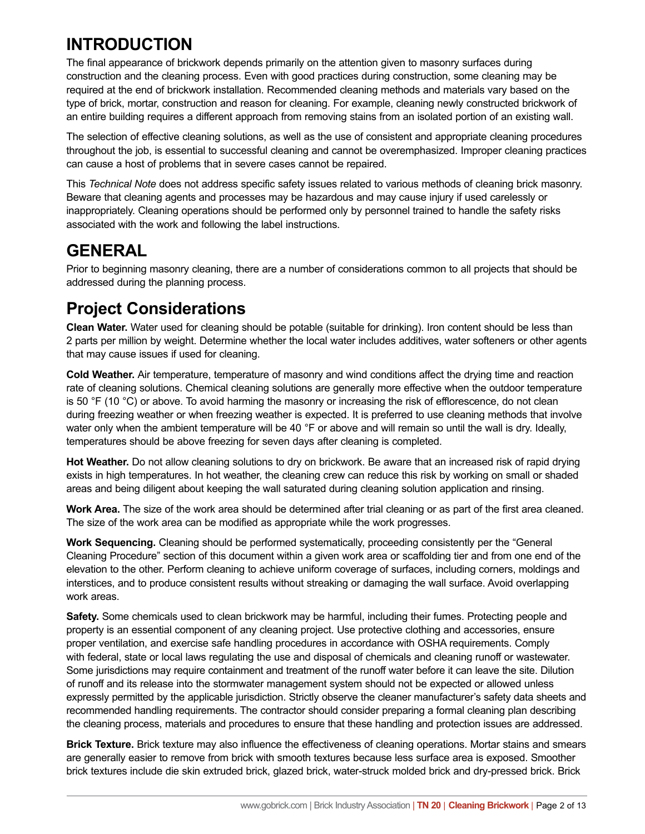### **INTRODUCTION**

The final appearance of brickwork depends primarily on the attention given to masonry surfaces during construction and the cleaning process. Even with good practices during construction, some cleaning may be required at the end of brickwork installation. Recommended cleaning methods and materials vary based on the type of brick, mortar, construction and reason for cleaning. For example, cleaning newly constructed brickwork of an entire building requires a different approach from removing stains from an isolated portion of an existing wall.

The selection of effective cleaning solutions, as well as the use of consistent and appropriate cleaning procedures throughout the job, is essential to successful cleaning and cannot be overemphasized. Improper cleaning practices can cause a host of problems that in severe cases cannot be repaired.

This *Technical Note* does not address specific safety issues related to various methods of cleaning brick masonry. Beware that cleaning agents and processes may be hazardous and may cause injury if used carelessly or inappropriately. Cleaning operations should be performed only by personnel trained to handle the safety risks associated with the work and following the label instructions.

#### **GENERAL**

Prior to beginning masonry cleaning, there are a number of considerations common to all projects that should be addressed during the planning process.

### **Project Considerations**

**Clean Water.** Water used for cleaning should be potable (suitable for drinking). Iron content should be less than 2 parts per million by weight. Determine whether the local water includes additives, water softeners or other agents that may cause issues if used for cleaning.

**Cold Weather.** Air temperature, temperature of masonry and wind conditions affect the drying time and reaction rate of cleaning solutions. Chemical cleaning solutions are generally more effective when the outdoor temperature is 50 °F (10 °C) or above. To avoid harming the masonry or increasing the risk of efflorescence, do not clean during freezing weather or when freezing weather is expected. It is preferred to use cleaning methods that involve water only when the ambient temperature will be 40 °F or above and will remain so until the wall is dry. Ideally, temperatures should be above freezing for seven days after cleaning is completed.

**Hot Weather.** Do not allow cleaning solutions to dry on brickwork. Be aware that an increased risk of rapid drying exists in high temperatures. In hot weather, the cleaning crew can reduce this risk by working on small or shaded areas and being diligent about keeping the wall saturated during cleaning solution application and rinsing.

**Work Area.** The size of the work area should be determined after trial cleaning or as part of the first area cleaned. The size of the work area can be modified as appropriate while the work progresses.

**Work Sequencing.** Cleaning should be performed systematically, proceeding consistently per the "General Cleaning Procedure" section of this document within a given work area or scaffolding tier and from one end of the elevation to the other. Perform cleaning to achieve uniform coverage of surfaces, including corners, moldings and interstices, and to produce consistent results without streaking or damaging the wall surface. Avoid overlapping work areas.

**Safety.** Some chemicals used to clean brickwork may be harmful, including their fumes. Protecting people and property is an essential component of any cleaning project. Use protective clothing and accessories, ensure proper ventilation, and exercise safe handling procedures in accordance with OSHA requirements. Comply with federal, state or local laws regulating the use and disposal of chemicals and cleaning runoff or wastewater. Some jurisdictions may require containment and treatment of the runoff water before it can leave the site. Dilution of runoff and its release into the stormwater management system should not be expected or allowed unless expressly permitted by the applicable jurisdiction. Strictly observe the cleaner manufacturer's safety data sheets and recommended handling requirements. The contractor should consider preparing a formal cleaning plan describing the cleaning process, materials and procedures to ensure that these handling and protection issues are addressed.

**Brick Texture.** Brick texture may also influence the effectiveness of cleaning operations. Mortar stains and smears are generally easier to remove from brick with smooth textures because less surface area is exposed. Smoother brick textures include die skin extruded brick, glazed brick, water-struck molded brick and dry-pressed brick. Brick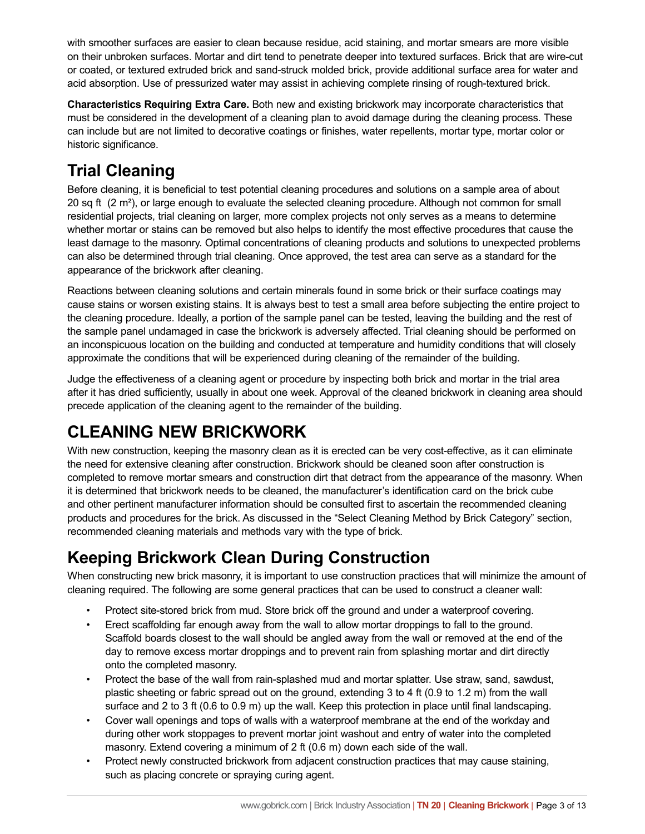with smoother surfaces are easier to clean because residue, acid staining, and mortar smears are more visible on their unbroken surfaces. Mortar and dirt tend to penetrate deeper into textured surfaces. Brick that are wire-cut or coated, or textured extruded brick and sand-struck molded brick, provide additional surface area for water and acid absorption. Use of pressurized water may assist in achieving complete rinsing of rough-textured brick.

**Characteristics Requiring Extra Care.** Both new and existing brickwork may incorporate characteristics that must be considered in the development of a cleaning plan to avoid damage during the cleaning process. These can include but are not limited to decorative coatings or finishes, water repellents, mortar type, mortar color or historic significance.

# **Trial Cleaning**

Before cleaning, it is beneficial to test potential cleaning procedures and solutions on a sample area of about 20 sq ft  $(2 \text{ m}^2)$ , or large enough to evaluate the selected cleaning procedure. Although not common for small residential projects, trial cleaning on larger, more complex projects not only serves as a means to determine whether mortar or stains can be removed but also helps to identify the most effective procedures that cause the least damage to the masonry. Optimal concentrations of cleaning products and solutions to unexpected problems can also be determined through trial cleaning. Once approved, the test area can serve as a standard for the appearance of the brickwork after cleaning.

Reactions between cleaning solutions and certain minerals found in some brick or their surface coatings may cause stains or worsen existing stains. It is always best to test a small area before subjecting the entire project to the cleaning procedure. Ideally, a portion of the sample panel can be tested, leaving the building and the rest of the sample panel undamaged in case the brickwork is adversely affected. Trial cleaning should be performed on an inconspicuous location on the building and conducted at temperature and humidity conditions that will closely approximate the conditions that will be experienced during cleaning of the remainder of the building.

Judge the effectiveness of a cleaning agent or procedure by inspecting both brick and mortar in the trial area after it has dried sufficiently, usually in about one week. Approval of the cleaned brickwork in cleaning area should precede application of the cleaning agent to the remainder of the building.

# **CLEANING NEW BRICKWORK**

With new construction, keeping the masonry clean as it is erected can be very cost-effective, as it can eliminate the need for extensive cleaning after construction. Brickwork should be cleaned soon after construction is completed to remove mortar smears and construction dirt that detract from the appearance of the masonry. When it is determined that brickwork needs to be cleaned, the manufacturer's identification card on the brick cube and other pertinent manufacturer information should be consulted first to ascertain the recommended cleaning products and procedures for the brick. As discussed in the "Select Cleaning Method by Brick Category" section, recommended cleaning materials and methods vary with the type of brick.

# **Keeping Brickwork Clean During Construction**

When constructing new brick masonry, it is important to use construction practices that will minimize the amount of cleaning required. The following are some general practices that can be used to construct a cleaner wall:

- Protect site-stored brick from mud. Store brick off the ground and under a waterproof covering.
- Erect scaffolding far enough away from the wall to allow mortar droppings to fall to the ground. Scaffold boards closest to the wall should be angled away from the wall or removed at the end of the day to remove excess mortar droppings and to prevent rain from splashing mortar and dirt directly onto the completed masonry.
- Protect the base of the wall from rain-splashed mud and mortar splatter. Use straw, sand, sawdust, plastic sheeting or fabric spread out on the ground, extending 3 to 4 ft (0.9 to 1.2 m) from the wall surface and 2 to 3 ft (0.6 to 0.9 m) up the wall. Keep this protection in place until final landscaping.
- Cover wall openings and tops of walls with a waterproof membrane at the end of the workday and during other work stoppages to prevent mortar joint washout and entry of water into the completed masonry. Extend covering a minimum of 2 ft (0.6 m) down each side of the wall.
- Protect newly constructed brickwork from adjacent construction practices that may cause staining, such as placing concrete or spraying curing agent.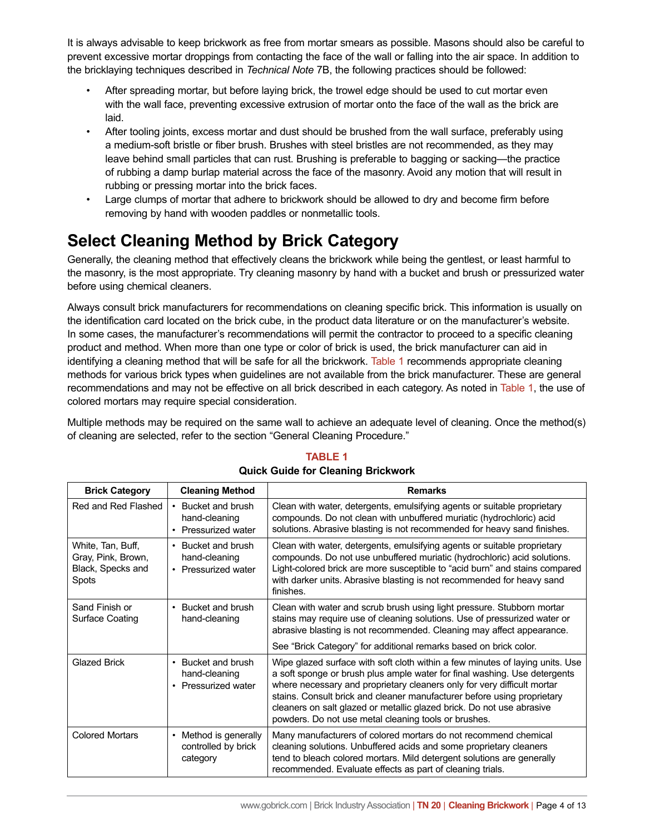It is always advisable to keep brickwork as free from mortar smears as possible. Masons should also be careful to prevent excessive mortar droppings from contacting the face of the wall or falling into the air space. In addition to the bricklaying techniques described in *Technical Note* 7B, the following practices should be followed:

- After spreading mortar, but before laying brick, the trowel edge should be used to cut mortar even with the wall face, preventing excessive extrusion of mortar onto the face of the wall as the brick are laid.
- After tooling joints, excess mortar and dust should be brushed from the wall surface, preferably using a medium-soft bristle or fiber brush. Brushes with steel bristles are not recommended, as they may leave behind small particles that can rust. Brushing is preferable to bagging or sacking—the practice of rubbing a damp burlap material across the face of the masonry. Avoid any motion that will result in rubbing or pressing mortar into the brick faces.
- Large clumps of mortar that adhere to brickwork should be allowed to dry and become firm before removing by hand with wooden paddles or nonmetallic tools.

# **Select Cleaning Method by Brick Category**

Generally, the cleaning method that effectively cleans the brickwork while being the gentlest, or least harmful to the masonry, is the most appropriate. Try cleaning masonry by hand with a bucket and brush or pressurized water before using chemical cleaners.

Always consult brick manufacturers for recommendations on cleaning specific brick. This information is usually on the identification card located on the brick cube, in the product data literature or on the manufacturer's website. In some cases, the manufacturer's recommendations will permit the contractor to proceed to a specific cleaning product and method. When more than one type or color of brick is used, the brick manufacturer can aid in identifying a cleaning method that will be safe for all the brickwork. [Table 1](#page-3-0) recommends appropriate cleaning methods for various brick types when guidelines are not available from the brick manufacturer. These are general recommendations and may not be effective on all brick described in each category. As noted in [Table 1,](#page-3-0) the use of colored mortars may require special consideration.

<span id="page-3-0"></span>Multiple methods may be required on the same wall to achieve an adequate level of cleaning. Once the method(s) of cleaning are selected, refer to the section "General Cleaning Procedure."

| <b>Brick Category</b>                                                        | <b>Cleaning Method</b>                                                | <b>Remarks</b>                                                                                                                                                                                                                                                                                                                                                                                                                                    |
|------------------------------------------------------------------------------|-----------------------------------------------------------------------|---------------------------------------------------------------------------------------------------------------------------------------------------------------------------------------------------------------------------------------------------------------------------------------------------------------------------------------------------------------------------------------------------------------------------------------------------|
| Red and Red Flashed                                                          | • Bucket and brush<br>hand-cleaning<br>• Pressurized water            | Clean with water, detergents, emulsifying agents or suitable proprietary<br>compounds. Do not clean with unbuffered muriatic (hydrochloric) acid<br>solutions. Abrasive blasting is not recommended for heavy sand finishes.                                                                                                                                                                                                                      |
| White, Tan, Buff,<br>Gray, Pink, Brown,<br>Black, Specks and<br><b>Spots</b> | Bucket and brush<br>$\bullet$<br>hand-cleaning<br>• Pressurized water | Clean with water, detergents, emulsifying agents or suitable proprietary<br>compounds. Do not use unbuffered muriatic (hydrochloric) acid solutions.<br>Light-colored brick are more susceptible to "acid burn" and stains compared<br>with darker units. Abrasive blasting is not recommended for heavy sand<br>finishes.                                                                                                                        |
| Sand Finish or<br>Surface Coating                                            | Bucket and brush<br>$\bullet$<br>hand-cleaning                        | Clean with water and scrub brush using light pressure. Stubborn mortar<br>stains may require use of cleaning solutions. Use of pressurized water or<br>abrasive blasting is not recommended. Cleaning may affect appearance.                                                                                                                                                                                                                      |
|                                                                              |                                                                       | See "Brick Category" for additional remarks based on brick color.                                                                                                                                                                                                                                                                                                                                                                                 |
| <b>Glazed Brick</b>                                                          | Bucket and brush<br>٠<br>hand-cleaning<br>• Pressurized water         | Wipe glazed surface with soft cloth within a few minutes of laying units. Use<br>a soft sponge or brush plus ample water for final washing. Use detergents<br>where necessary and proprietary cleaners only for very difficult mortar<br>stains. Consult brick and cleaner manufacturer before using proprietary<br>cleaners on salt glazed or metallic glazed brick. Do not use abrasive<br>powders. Do not use metal cleaning tools or brushes. |
| <b>Colored Mortars</b>                                                       | Method is generally<br>٠<br>controlled by brick<br>category           | Many manufacturers of colored mortars do not recommend chemical<br>cleaning solutions. Unbuffered acids and some proprietary cleaners<br>tend to bleach colored mortars. Mild detergent solutions are generally<br>recommended. Evaluate effects as part of cleaning trials.                                                                                                                                                                      |

#### **TABLE 1 Quick Guide for Cleaning Brickwork**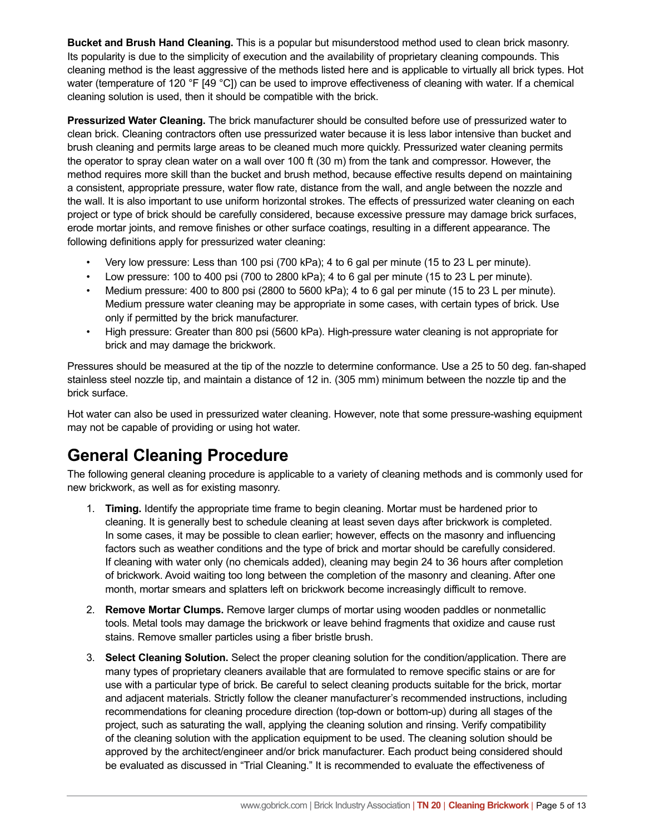**Bucket and Brush Hand Cleaning.** This is a popular but misunderstood method used to clean brick masonry. Its popularity is due to the simplicity of execution and the availability of proprietary cleaning compounds. This cleaning method is the least aggressive of the methods listed here and is applicable to virtually all brick types. Hot water (temperature of 120 °F [49 °C]) can be used to improve effectiveness of cleaning with water. If a chemical cleaning solution is used, then it should be compatible with the brick.

**Pressurized Water Cleaning.** The brick manufacturer should be consulted before use of pressurized water to clean brick. Cleaning contractors often use pressurized water because it is less labor intensive than bucket and brush cleaning and permits large areas to be cleaned much more quickly. Pressurized water cleaning permits the operator to spray clean water on a wall over 100 ft (30 m) from the tank and compressor. However, the method requires more skill than the bucket and brush method, because effective results depend on maintaining a consistent, appropriate pressure, water flow rate, distance from the wall, and angle between the nozzle and the wall. It is also important to use uniform horizontal strokes. The effects of pressurized water cleaning on each project or type of brick should be carefully considered, because excessive pressure may damage brick surfaces, erode mortar joints, and remove finishes or other surface coatings, resulting in a different appearance. The following definitions apply for pressurized water cleaning:

- Very low pressure: Less than 100 psi (700 kPa); 4 to 6 gal per minute (15 to 23 L per minute).
- Low pressure: 100 to 400 psi (700 to 2800 kPa); 4 to 6 gal per minute (15 to 23 L per minute).
- Medium pressure: 400 to 800 psi (2800 to 5600 kPa); 4 to 6 gal per minute (15 to 23 L per minute). Medium pressure water cleaning may be appropriate in some cases, with certain types of brick. Use only if permitted by the brick manufacturer.
- High pressure: Greater than 800 psi (5600 kPa). High-pressure water cleaning is not appropriate for brick and may damage the brickwork.

Pressures should be measured at the tip of the nozzle to determine conformance. Use a 25 to 50 deg. fan-shaped stainless steel nozzle tip, and maintain a distance of 12 in. (305 mm) minimum between the nozzle tip and the brick surface.

Hot water can also be used in pressurized water cleaning. However, note that some pressure-washing equipment may not be capable of providing or using hot water.

### **General Cleaning Procedure**

The following general cleaning procedure is applicable to a variety of cleaning methods and is commonly used for new brickwork, as well as for existing masonry.

- 1. **Timing.** Identify the appropriate time frame to begin cleaning. Mortar must be hardened prior to cleaning. It is generally best to schedule cleaning at least seven days after brickwork is completed. In some cases, it may be possible to clean earlier; however, effects on the masonry and influencing factors such as weather conditions and the type of brick and mortar should be carefully considered. If cleaning with water only (no chemicals added), cleaning may begin 24 to 36 hours after completion of brickwork. Avoid waiting too long between the completion of the masonry and cleaning. After one month, mortar smears and splatters left on brickwork become increasingly difficult to remove.
- 2. **Remove Mortar Clumps.** Remove larger clumps of mortar using wooden paddles or nonmetallic tools. Metal tools may damage the brickwork or leave behind fragments that oxidize and cause rust stains. Remove smaller particles using a fiber bristle brush.
- 3. **Select Cleaning Solution.** Select the proper cleaning solution for the condition/application. There are many types of proprietary cleaners available that are formulated to remove specific stains or are for use with a particular type of brick. Be careful to select cleaning products suitable for the brick, mortar and adjacent materials. Strictly follow the cleaner manufacturer's recommended instructions, including recommendations for cleaning procedure direction (top-down or bottom-up) during all stages of the project, such as saturating the wall, applying the cleaning solution and rinsing. Verify compatibility of the cleaning solution with the application equipment to be used. The cleaning solution should be approved by the architect/engineer and/or brick manufacturer. Each product being considered should be evaluated as discussed in "Trial Cleaning." It is recommended to evaluate the effectiveness of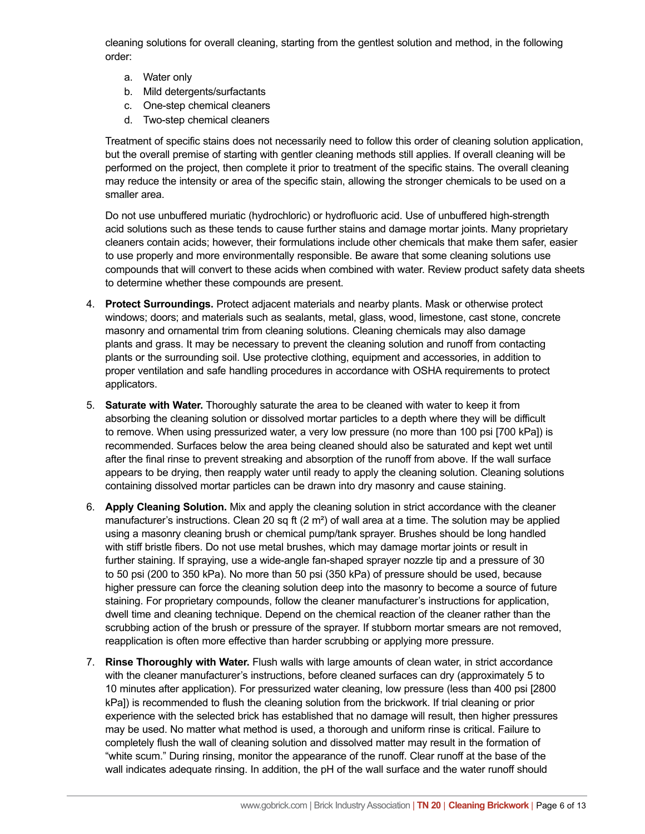cleaning solutions for overall cleaning, starting from the gentlest solution and method, in the following order:

- a. Water only
- b. Mild detergents/surfactants
- c. One-step chemical cleaners
- d. Two-step chemical cleaners

Treatment of specific stains does not necessarily need to follow this order of cleaning solution application, but the overall premise of starting with gentler cleaning methods still applies. If overall cleaning will be performed on the project, then complete it prior to treatment of the specific stains. The overall cleaning may reduce the intensity or area of the specific stain, allowing the stronger chemicals to be used on a smaller area.

Do not use unbuffered muriatic (hydrochloric) or hydrofluoric acid. Use of unbuffered high-strength acid solutions such as these tends to cause further stains and damage mortar joints. Many proprietary cleaners contain acids; however, their formulations include other chemicals that make them safer, easier to use properly and more environmentally responsible. Be aware that some cleaning solutions use compounds that will convert to these acids when combined with water. Review product safety data sheets to determine whether these compounds are present.

- 4. **Protect Surroundings.** Protect adjacent materials and nearby plants. Mask or otherwise protect windows; doors; and materials such as sealants, metal, glass, wood, limestone, cast stone, concrete masonry and ornamental trim from cleaning solutions. Cleaning chemicals may also damage plants and grass. It may be necessary to prevent the cleaning solution and runoff from contacting plants or the surrounding soil. Use protective clothing, equipment and accessories, in addition to proper ventilation and safe handling procedures in accordance with OSHA requirements to protect applicators.
- 5. **Saturate with Water.** Thoroughly saturate the area to be cleaned with water to keep it from absorbing the cleaning solution or dissolved mortar particles to a depth where they will be difficult to remove. When using pressurized water, a very low pressure (no more than 100 psi [700 kPa]) is recommended. Surfaces below the area being cleaned should also be saturated and kept wet until after the final rinse to prevent streaking and absorption of the runoff from above. If the wall surface appears to be drying, then reapply water until ready to apply the cleaning solution. Cleaning solutions containing dissolved mortar particles can be drawn into dry masonry and cause staining.
- 6. **Apply Cleaning Solution.** Mix and apply the cleaning solution in strict accordance with the cleaner manufacturer's instructions. Clean 20 sq ft  $(2 \text{ m}^2)$  of wall area at a time. The solution may be applied using a masonry cleaning brush or chemical pump/tank sprayer. Brushes should be long handled with stiff bristle fibers. Do not use metal brushes, which may damage mortar joints or result in further staining. If spraying, use a wide-angle fan-shaped sprayer nozzle tip and a pressure of 30 to 50 psi (200 to 350 kPa). No more than 50 psi (350 kPa) of pressure should be used, because higher pressure can force the cleaning solution deep into the masonry to become a source of future staining. For proprietary compounds, follow the cleaner manufacturer's instructions for application, dwell time and cleaning technique. Depend on the chemical reaction of the cleaner rather than the scrubbing action of the brush or pressure of the sprayer. If stubborn mortar smears are not removed, reapplication is often more effective than harder scrubbing or applying more pressure.
- 7. **Rinse Thoroughly with Water.** Flush walls with large amounts of clean water, in strict accordance with the cleaner manufacturer's instructions, before cleaned surfaces can dry (approximately 5 to 10 minutes after application). For pressurized water cleaning, low pressure (less than 400 psi [2800 kPa]) is recommended to flush the cleaning solution from the brickwork. If trial cleaning or prior experience with the selected brick has established that no damage will result, then higher pressures may be used. No matter what method is used, a thorough and uniform rinse is critical. Failure to completely flush the wall of cleaning solution and dissolved matter may result in the formation of "white scum." During rinsing, monitor the appearance of the runoff. Clear runoff at the base of the wall indicates adequate rinsing. In addition, the pH of the wall surface and the water runoff should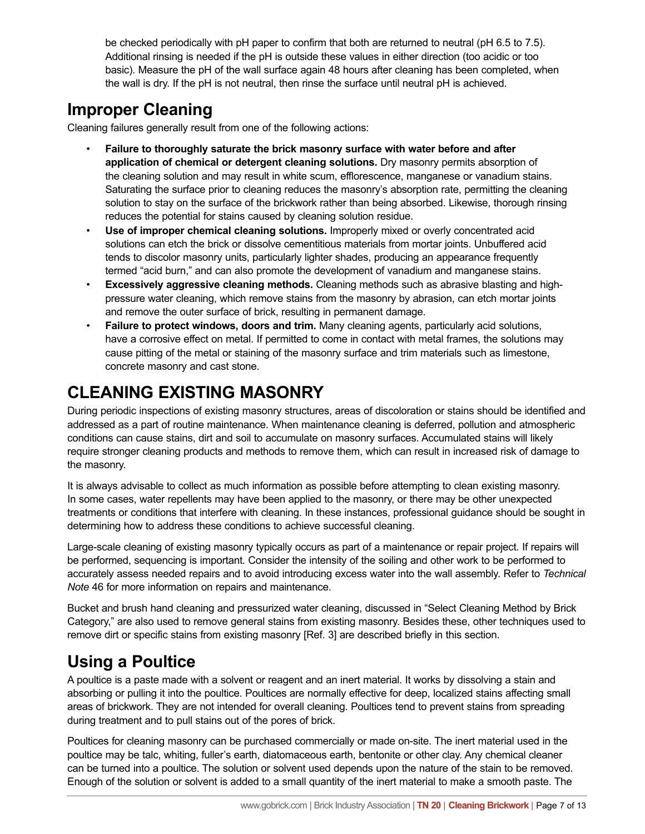be checked periodically with pH paper to confirm that both are returned to neutral (pH 6.5 to 7.5). Additional rinsing is needed if the pH is outside these values in either direction (too acidic or too basic). Measure the pH of the wall surface again 48 hours after cleaning has been completed, when the wall is dry. If the pH is not neutral, then rinse the surface until neutral pH is achieved.

### **Improper Cleaning**

Cleaning failures generally result from one of the following actions:

- **Failure to thoroughly saturate the brick masonry surface with water before and after application of chemical or detergent cleaning solutions.** Dry masonry permits absorption of the cleaning solution and may result in white scum, efflorescence, manganese or vanadium stains. Saturating the surface prior to cleaning reduces the masonry's absorption rate, permitting the cleaning solution to stay on the surface of the brickwork rather than being absorbed. Likewise, thorough rinsing reduces the potential for stains caused by cleaning solution residue.
- **Use of improper chemical cleaning solutions.** Improperly mixed or overly concentrated acid solutions can etch the brick or dissolve cementitious materials from mortar joints. Unbuffered acid tends to discolor masonry units, particularly lighter shades, producing an appearance frequently termed "acid burn," and can also promote the development of vanadium and manganese stains.
- **Excessively aggressive cleaning methods.** Cleaning methods such as abrasive blasting and highpressure water cleaning, which remove stains from the masonry by abrasion, can etch mortar joints and remove the outer surface of brick, resulting in permanent damage.
- **Failure to protect windows, doors and trim.** Many cleaning agents, particularly acid solutions, have a corrosive effect on metal. If permitted to come in contact with metal frames, the solutions may cause pitting of the metal or staining of the masonry surface and trim materials such as limestone, concrete masonry and cast stone.

# **CLEANING EXISTING MASONRY**

During periodic inspections of existing masonry structures, areas of discoloration or stains should be identified and addressed as a part of routine maintenance. When maintenance cleaning is deferred, pollution and atmospheric conditions can cause stains, dirt and soil to accumulate on masonry surfaces. Accumulated stains will likely require stronger cleaning products and methods to remove them, which can result in increased risk of damage to the masonry.

It is always advisable to collect as much information as possible before attempting to clean existing masonry. In some cases, water repellents may have been applied to the masonry, or there may be other unexpected treatments or conditions that interfere with cleaning. In these instances, professional guidance should be sought in determining how to address these conditions to achieve successful cleaning.

Large-scale cleaning of existing masonry typically occurs as part of a maintenance or repair project. If repairs will be performed, sequencing is important. Consider the intensity of the soiling and other work to be performed to accurately assess needed repairs and to avoid introducing excess water into the wall assembly. Refer to *Technical Note* 46 for more information on repairs and maintenance.

Bucket and brush hand cleaning and pressurized water cleaning, discussed in "Select Cleaning Method by Brick Category," are also used to remove general stains from existing masonry. Besides these, other techniques used to remove dirt or specific stains from existing masonry [Ref. 3] are described briefly in this section.

#### **Using a Poultice**

A poultice is a paste made with a solvent or reagent and an inert material. It works by dissolving a stain and absorbing or pulling it into the poultice. Poultices are normally effective for deep, localized stains affecting small areas of brickwork. They are not intended for overall cleaning. Poultices tend to prevent stains from spreading during treatment and to pull stains out of the pores of brick.

Poultices for cleaning masonry can be purchased commercially or made on-site. The inert material used in the poultice may be talc, whiting, fuller's earth, diatomaceous earth, bentonite or other clay. Any chemical cleaner can be turned into a poultice. The solution or solvent used depends upon the nature of the stain to be removed. Enough of the solution or solvent is added to a small quantity of the inert material to make a smooth paste. The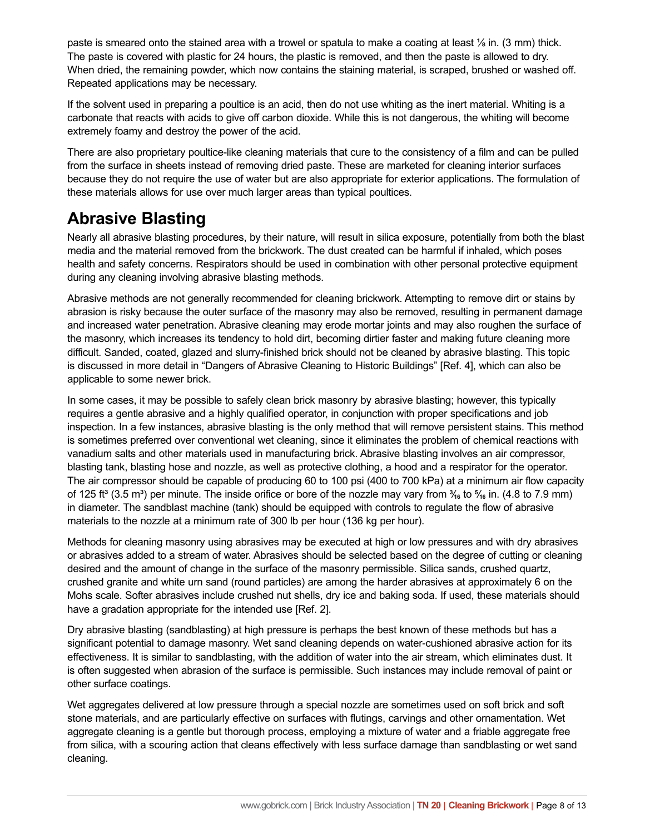paste is smeared onto the stained area with a trowel or spatula to make a coating at least ⅛ in. (3 mm) thick. The paste is covered with plastic for 24 hours, the plastic is removed, and then the paste is allowed to dry. When dried, the remaining powder, which now contains the staining material, is scraped, brushed or washed off. Repeated applications may be necessary.

If the solvent used in preparing a poultice is an acid, then do not use whiting as the inert material. Whiting is a carbonate that reacts with acids to give off carbon dioxide. While this is not dangerous, the whiting will become extremely foamy and destroy the power of the acid.

There are also proprietary poultice-like cleaning materials that cure to the consistency of a film and can be pulled from the surface in sheets instead of removing dried paste. These are marketed for cleaning interior surfaces because they do not require the use of water but are also appropriate for exterior applications. The formulation of these materials allows for use over much larger areas than typical poultices.

#### **Abrasive Blasting**

Nearly all abrasive blasting procedures, by their nature, will result in silica exposure, potentially from both the blast media and the material removed from the brickwork. The dust created can be harmful if inhaled, which poses health and safety concerns. Respirators should be used in combination with other personal protective equipment during any cleaning involving abrasive blasting methods.

Abrasive methods are not generally recommended for cleaning brickwork. Attempting to remove dirt or stains by abrasion is risky because the outer surface of the masonry may also be removed, resulting in permanent damage and increased water penetration. Abrasive cleaning may erode mortar joints and may also roughen the surface of the masonry, which increases its tendency to hold dirt, becoming dirtier faster and making future cleaning more difficult. Sanded, coated, glazed and slurry-finished brick should not be cleaned by abrasive blasting. This topic is discussed in more detail in "Dangers of Abrasive Cleaning to Historic Buildings" [Ref. 4], which can also be applicable to some newer brick.

In some cases, it may be possible to safely clean brick masonry by abrasive blasting; however, this typically requires a gentle abrasive and a highly qualified operator, in conjunction with proper specifications and job inspection. In a few instances, abrasive blasting is the only method that will remove persistent stains. This method is sometimes preferred over conventional wet cleaning, since it eliminates the problem of chemical reactions with vanadium salts and other materials used in manufacturing brick. Abrasive blasting involves an air compressor, blasting tank, blasting hose and nozzle, as well as protective clothing, a hood and a respirator for the operator. The air compressor should be capable of producing 60 to 100 psi (400 to 700 kPa) at a minimum air flow capacity of 125 ft<sup>3</sup> (3.5 m<sup>3</sup>) per minute. The inside orifice or bore of the nozzle may vary from  $\frac{3}{46}$  to  $\frac{5}{46}$  in. (4.8 to 7.9 mm) in diameter. The sandblast machine (tank) should be equipped with controls to regulate the flow of abrasive materials to the nozzle at a minimum rate of 300 lb per hour (136 kg per hour).

Methods for cleaning masonry using abrasives may be executed at high or low pressures and with dry abrasives or abrasives added to a stream of water. Abrasives should be selected based on the degree of cutting or cleaning desired and the amount of change in the surface of the masonry permissible. Silica sands, crushed quartz, crushed granite and white urn sand (round particles) are among the harder abrasives at approximately 6 on the Mohs scale. Softer abrasives include crushed nut shells, dry ice and baking soda. If used, these materials should have a gradation appropriate for the intended use [Ref. 2].

Dry abrasive blasting (sandblasting) at high pressure is perhaps the best known of these methods but has a significant potential to damage masonry. Wet sand cleaning depends on water-cushioned abrasive action for its effectiveness. It is similar to sandblasting, with the addition of water into the air stream, which eliminates dust. It is often suggested when abrasion of the surface is permissible. Such instances may include removal of paint or other surface coatings.

Wet aggregates delivered at low pressure through a special nozzle are sometimes used on soft brick and soft stone materials, and are particularly effective on surfaces with flutings, carvings and other ornamentation. Wet aggregate cleaning is a gentle but thorough process, employing a mixture of water and a friable aggregate free from silica, with a scouring action that cleans effectively with less surface damage than sandblasting or wet sand cleaning.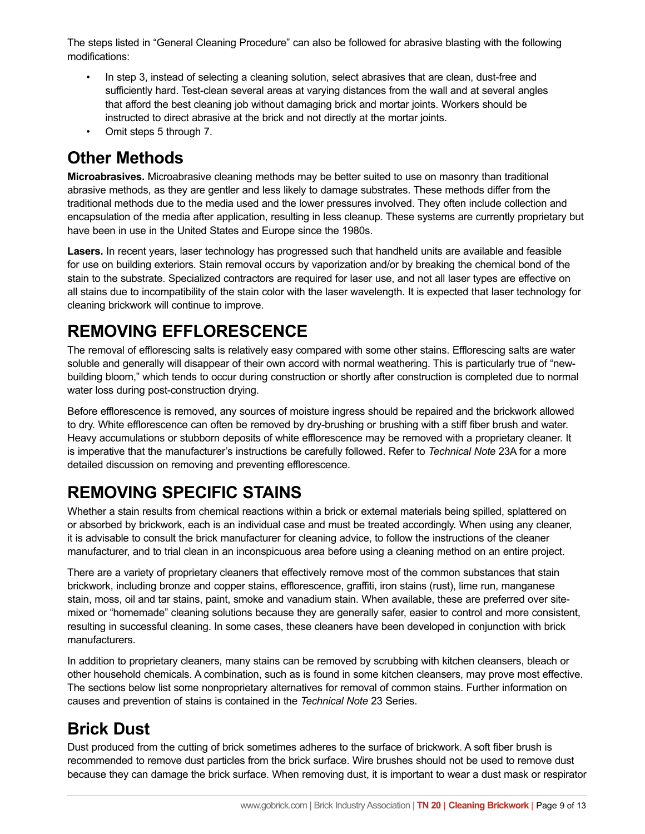The steps listed in "General Cleaning Procedure" can also be followed for abrasive blasting with the following modifications:

- In step 3, instead of selecting a cleaning solution, select abrasives that are clean, dust-free and sufficiently hard. Test-clean several areas at varying distances from the wall and at several angles that afford the best cleaning job without damaging brick and mortar joints. Workers should be instructed to direct abrasive at the brick and not directly at the mortar joints.
- Omit steps 5 through 7.

### **Other Methods**

**Microabrasives.** Microabrasive cleaning methods may be better suited to use on masonry than traditional abrasive methods, as they are gentler and less likely to damage substrates. These methods differ from the traditional methods due to the media used and the lower pressures involved. They often include collection and encapsulation of the media after application, resulting in less cleanup. These systems are currently proprietary but have been in use in the United States and Europe since the 1980s.

**Lasers.** In recent years, laser technology has progressed such that handheld units are available and feasible for use on building exteriors. Stain removal occurs by vaporization and/or by breaking the chemical bond of the stain to the substrate. Specialized contractors are required for laser use, and not all laser types are effective on all stains due to incompatibility of the stain color with the laser wavelength. It is expected that laser technology for cleaning brickwork will continue to improve.

# **REMOVING EFFLORESCENCE**

The removal of efflorescing salts is relatively easy compared with some other stains. Efflorescing salts are water soluble and generally will disappear of their own accord with normal weathering. This is particularly true of "newbuilding bloom," which tends to occur during construction or shortly after construction is completed due to normal water loss during post-construction drying.

Before efflorescence is removed, any sources of moisture ingress should be repaired and the brickwork allowed to dry. White efflorescence can often be removed by dry-brushing or brushing with a stiff fiber brush and water. Heavy accumulations or stubborn deposits of white efflorescence may be removed with a proprietary cleaner. It is imperative that the manufacturer's instructions be carefully followed. Refer to *Technical Note* 23A for a more detailed discussion on removing and preventing efflorescence.

# **REMOVING SPECIFIC STAINS**

Whether a stain results from chemical reactions within a brick or external materials being spilled, splattered on or absorbed by brickwork, each is an individual case and must be treated accordingly. When using any cleaner, it is advisable to consult the brick manufacturer for cleaning advice, to follow the instructions of the cleaner manufacturer, and to trial clean in an inconspicuous area before using a cleaning method on an entire project.

There are a variety of proprietary cleaners that effectively remove most of the common substances that stain brickwork, including bronze and copper stains, efflorescence, graffiti, iron stains (rust), lime run, manganese stain, moss, oil and tar stains, paint, smoke and vanadium stain. When available, these are preferred over sitemixed or "homemade" cleaning solutions because they are generally safer, easier to control and more consistent, resulting in successful cleaning. In some cases, these cleaners have been developed in conjunction with brick manufacturers.

In addition to proprietary cleaners, many stains can be removed by scrubbing with kitchen cleansers, bleach or other household chemicals. A combination, such as is found in some kitchen cleansers, may prove most effective. The sections below list some nonproprietary alternatives for removal of common stains. Further information on causes and prevention of stains is contained in the *Technical Note* 23 Series.

### **Brick Dust**

Dust produced from the cutting of brick sometimes adheres to the surface of brickwork. A soft fiber brush is recommended to remove dust particles from the brick surface. Wire brushes should not be used to remove dust because they can damage the brick surface. When removing dust, it is important to wear a dust mask or respirator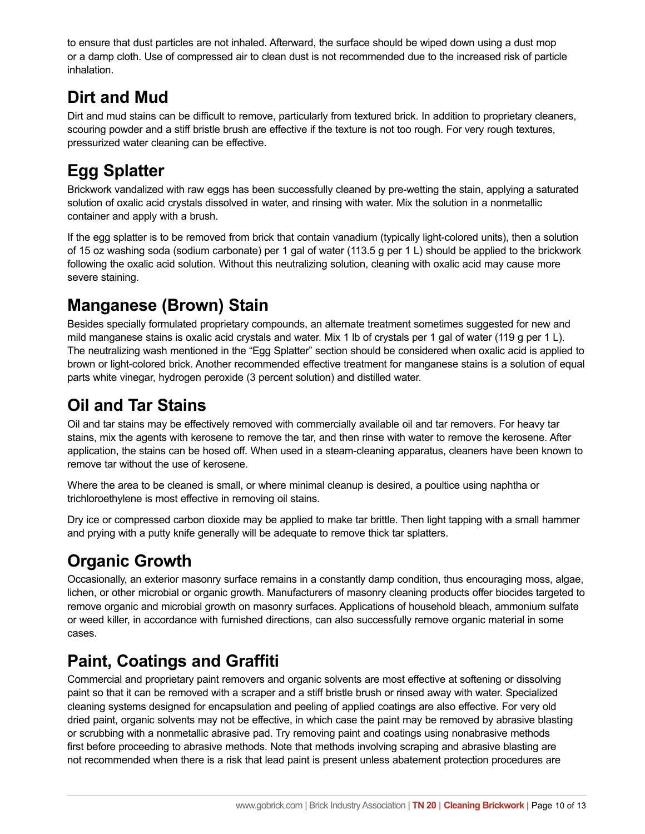to ensure that dust particles are not inhaled. Afterward, the surface should be wiped down using a dust mop or a damp cloth. Use of compressed air to clean dust is not recommended due to the increased risk of particle inhalation.

#### **Dirt and Mud**

Dirt and mud stains can be difficult to remove, particularly from textured brick. In addition to proprietary cleaners, scouring powder and a stiff bristle brush are effective if the texture is not too rough. For very rough textures, pressurized water cleaning can be effective.

# **Egg Splatter**

Brickwork vandalized with raw eggs has been successfully cleaned by pre-wetting the stain, applying a saturated solution of oxalic acid crystals dissolved in water, and rinsing with water. Mix the solution in a nonmetallic container and apply with a brush.

If the egg splatter is to be removed from brick that contain vanadium (typically light-colored units), then a solution of 15 oz washing soda (sodium carbonate) per 1 gal of water (113.5 g per 1 L) should be applied to the brickwork following the oxalic acid solution. Without this neutralizing solution, cleaning with oxalic acid may cause more severe staining.

# **Manganese (Brown) Stain**

Besides specially formulated proprietary compounds, an alternate treatment sometimes suggested for new and mild manganese stains is oxalic acid crystals and water. Mix 1 lb of crystals per 1 gal of water (119 g per 1 L). The neutralizing wash mentioned in the "Egg Splatter" section should be considered when oxalic acid is applied to brown or light-colored brick. Another recommended effective treatment for manganese stains is a solution of equal parts white vinegar, hydrogen peroxide (3 percent solution) and distilled water.

# **Oil and Tar Stains**

Oil and tar stains may be effectively removed with commercially available oil and tar removers. For heavy tar stains, mix the agents with kerosene to remove the tar, and then rinse with water to remove the kerosene. After application, the stains can be hosed off. When used in a steam-cleaning apparatus, cleaners have been known to remove tar without the use of kerosene.

Where the area to be cleaned is small, or where minimal cleanup is desired, a poultice using naphtha or trichloroethylene is most effective in removing oil stains.

Dry ice or compressed carbon dioxide may be applied to make tar brittle. Then light tapping with a small hammer and prying with a putty knife generally will be adequate to remove thick tar splatters.

# **Organic Growth**

Occasionally, an exterior masonry surface remains in a constantly damp condition, thus encouraging moss, algae, lichen, or other microbial or organic growth. Manufacturers of masonry cleaning products offer biocides targeted to remove organic and microbial growth on masonry surfaces. Applications of household bleach, ammonium sulfate or weed killer, in accordance with furnished directions, can also successfully remove organic material in some cases.

# **Paint, Coatings and Graffiti**

Commercial and proprietary paint removers and organic solvents are most effective at softening or dissolving paint so that it can be removed with a scraper and a stiff bristle brush or rinsed away with water. Specialized cleaning systems designed for encapsulation and peeling of applied coatings are also effective. For very old dried paint, organic solvents may not be effective, in which case the paint may be removed by abrasive blasting or scrubbing with a nonmetallic abrasive pad. Try removing paint and coatings using nonabrasive methods first before proceeding to abrasive methods. Note that methods involving scraping and abrasive blasting are not recommended when there is a risk that lead paint is present unless abatement protection procedures are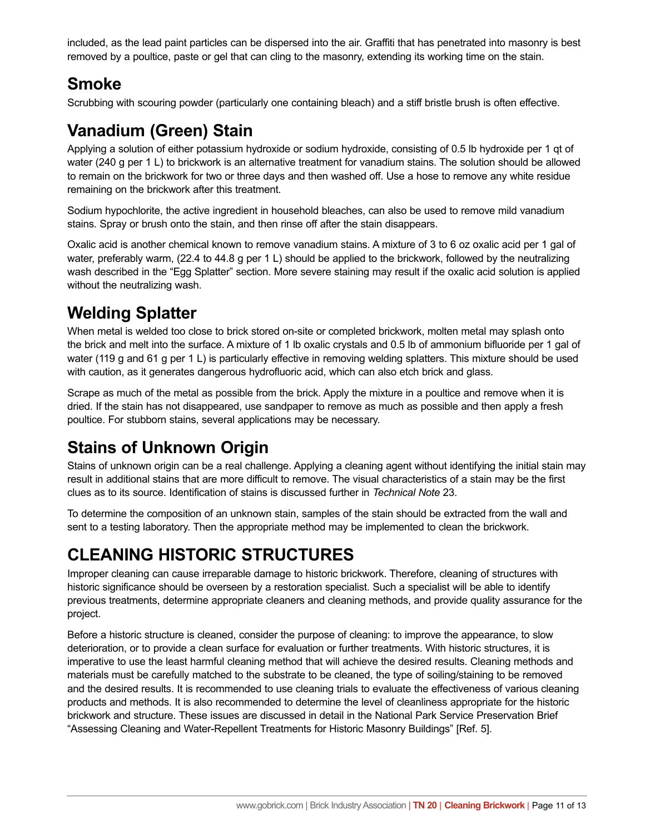included, as the lead paint particles can be dispersed into the air. Graffiti that has penetrated into masonry is best removed by a poultice, paste or gel that can cling to the masonry, extending its working time on the stain.

#### **Smoke**

Scrubbing with scouring powder (particularly one containing bleach) and a stiff bristle brush is often effective.

### **Vanadium (Green) Stain**

Applying a solution of either potassium hydroxide or sodium hydroxide, consisting of 0.5 lb hydroxide per 1 qt of water (240 g per 1 L) to brickwork is an alternative treatment for vanadium stains. The solution should be allowed to remain on the brickwork for two or three days and then washed off. Use a hose to remove any white residue remaining on the brickwork after this treatment.

Sodium hypochlorite, the active ingredient in household bleaches, can also be used to remove mild vanadium stains. Spray or brush onto the stain, and then rinse off after the stain disappears.

Oxalic acid is another chemical known to remove vanadium stains. A mixture of 3 to 6 oz oxalic acid per 1 gal of water, preferably warm, (22.4 to 44.8 g per 1 L) should be applied to the brickwork, followed by the neutralizing wash described in the "Egg Splatter" section. More severe staining may result if the oxalic acid solution is applied without the neutralizing wash.

### **Welding Splatter**

When metal is welded too close to brick stored on-site or completed brickwork, molten metal may splash onto the brick and melt into the surface. A mixture of 1 lb oxalic crystals and 0.5 lb of ammonium bifluoride per 1 gal of water (119 g and 61 g per 1 L) is particularly effective in removing welding splatters. This mixture should be used with caution, as it generates dangerous hydrofluoric acid, which can also etch brick and glass.

Scrape as much of the metal as possible from the brick. Apply the mixture in a poultice and remove when it is dried. If the stain has not disappeared, use sandpaper to remove as much as possible and then apply a fresh poultice. For stubborn stains, several applications may be necessary.

### **Stains of Unknown Origin**

Stains of unknown origin can be a real challenge. Applying a cleaning agent without identifying the initial stain may result in additional stains that are more difficult to remove. The visual characteristics of a stain may be the first clues as to its source. Identification of stains is discussed further in *Technical Note* 23.

To determine the composition of an unknown stain, samples of the stain should be extracted from the wall and sent to a testing laboratory. Then the appropriate method may be implemented to clean the brickwork.

### **CLEANING HISTORIC STRUCTURES**

Improper cleaning can cause irreparable damage to historic brickwork. Therefore, cleaning of structures with historic significance should be overseen by a restoration specialist. Such a specialist will be able to identify previous treatments, determine appropriate cleaners and cleaning methods, and provide quality assurance for the project.

Before a historic structure is cleaned, consider the purpose of cleaning: to improve the appearance, to slow deterioration, or to provide a clean surface for evaluation or further treatments. With historic structures, it is imperative to use the least harmful cleaning method that will achieve the desired results. Cleaning methods and materials must be carefully matched to the substrate to be cleaned, the type of soiling/staining to be removed and the desired results. It is recommended to use cleaning trials to evaluate the effectiveness of various cleaning products and methods. It is also recommended to determine the level of cleanliness appropriate for the historic brickwork and structure. These issues are discussed in detail in the National Park Service Preservation Brief "Assessing Cleaning and Water-Repellent Treatments for Historic Masonry Buildings" [Ref. 5].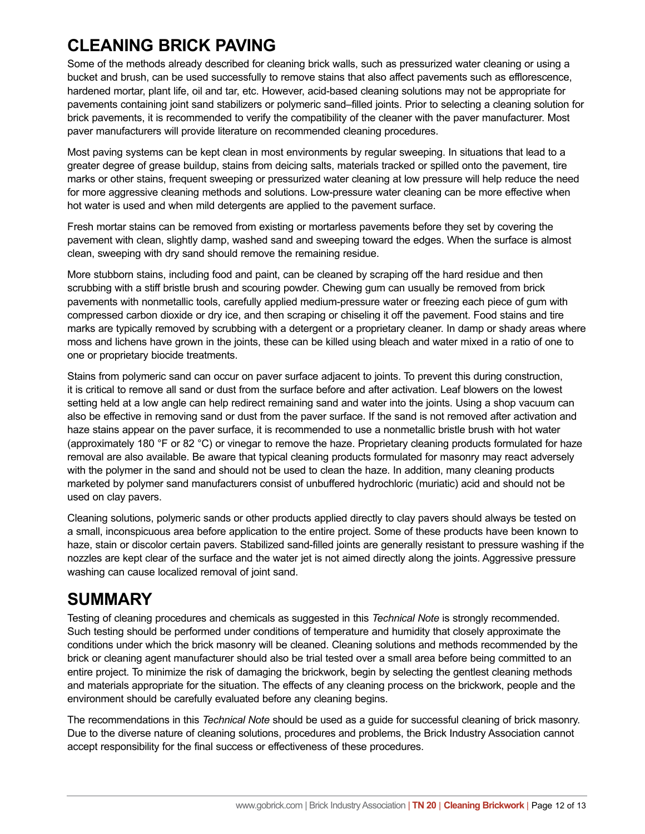#### **CLEANING BRICK PAVING**

Some of the methods already described for cleaning brick walls, such as pressurized water cleaning or using a bucket and brush, can be used successfully to remove stains that also affect pavements such as efflorescence, hardened mortar, plant life, oil and tar, etc. However, acid-based cleaning solutions may not be appropriate for pavements containing joint sand stabilizers or polymeric sand–filled joints. Prior to selecting a cleaning solution for brick pavements, it is recommended to verify the compatibility of the cleaner with the paver manufacturer. Most paver manufacturers will provide literature on recommended cleaning procedures.

Most paving systems can be kept clean in most environments by regular sweeping. In situations that lead to a greater degree of grease buildup, stains from deicing salts, materials tracked or spilled onto the pavement, tire marks or other stains, frequent sweeping or pressurized water cleaning at low pressure will help reduce the need for more aggressive cleaning methods and solutions. Low-pressure water cleaning can be more effective when hot water is used and when mild detergents are applied to the pavement surface.

Fresh mortar stains can be removed from existing or mortarless pavements before they set by covering the pavement with clean, slightly damp, washed sand and sweeping toward the edges. When the surface is almost clean, sweeping with dry sand should remove the remaining residue.

More stubborn stains, including food and paint, can be cleaned by scraping off the hard residue and then scrubbing with a stiff bristle brush and scouring powder. Chewing gum can usually be removed from brick pavements with nonmetallic tools, carefully applied medium-pressure water or freezing each piece of gum with compressed carbon dioxide or dry ice, and then scraping or chiseling it off the pavement. Food stains and tire marks are typically removed by scrubbing with a detergent or a proprietary cleaner. In damp or shady areas where moss and lichens have grown in the joints, these can be killed using bleach and water mixed in a ratio of one to one or proprietary biocide treatments.

Stains from polymeric sand can occur on paver surface adjacent to joints. To prevent this during construction, it is critical to remove all sand or dust from the surface before and after activation. Leaf blowers on the lowest setting held at a low angle can help redirect remaining sand and water into the joints. Using a shop vacuum can also be effective in removing sand or dust from the paver surface. If the sand is not removed after activation and haze stains appear on the paver surface, it is recommended to use a nonmetallic bristle brush with hot water (approximately 180 °F or 82 °C) or vinegar to remove the haze. Proprietary cleaning products formulated for haze removal are also available. Be aware that typical cleaning products formulated for masonry may react adversely with the polymer in the sand and should not be used to clean the haze. In addition, many cleaning products marketed by polymer sand manufacturers consist of unbuffered hydrochloric (muriatic) acid and should not be used on clay pavers.

Cleaning solutions, polymeric sands or other products applied directly to clay pavers should always be tested on a small, inconspicuous area before application to the entire project. Some of these products have been known to haze, stain or discolor certain pavers. Stabilized sand-filled joints are generally resistant to pressure washing if the nozzles are kept clear of the surface and the water jet is not aimed directly along the joints. Aggressive pressure washing can cause localized removal of joint sand.

#### **SUMMARY**

Testing of cleaning procedures and chemicals as suggested in this *Technical Note* is strongly recommended. Such testing should be performed under conditions of temperature and humidity that closely approximate the conditions under which the brick masonry will be cleaned. Cleaning solutions and methods recommended by the brick or cleaning agent manufacturer should also be trial tested over a small area before being committed to an entire project. To minimize the risk of damaging the brickwork, begin by selecting the gentlest cleaning methods and materials appropriate for the situation. The effects of any cleaning process on the brickwork, people and the environment should be carefully evaluated before any cleaning begins.

The recommendations in this *Technical Note* should be used as a guide for successful cleaning of brick masonry. Due to the diverse nature of cleaning solutions, procedures and problems, the Brick Industry Association cannot accept responsibility for the final success or effectiveness of these procedures.